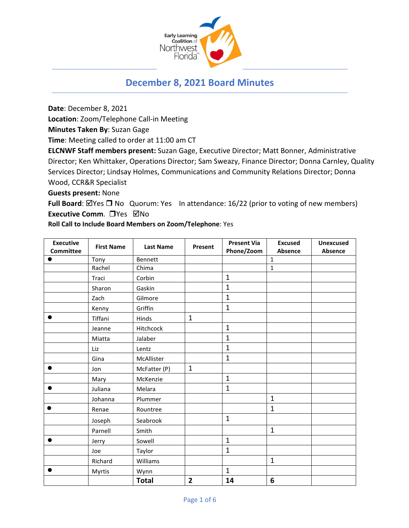

# **December 8, 2021 Board Minutes**

**Date**: December 8, 2021

**Location**: Zoom/Telephone Call-in Meeting

**Minutes Taken By**: Suzan Gage

**Time**: Meeting called to order at 11:00 am CT

**ELCNWF Staff members present:** Suzan Gage, Executive Director; Matt Bonner, Administrative Director; Ken Whittaker, Operations Director; Sam Sweazy, Finance Director; Donna Carnley, Quality Services Director; Lindsay Holmes, Communications and Community Relations Director; Donna Wood, CCR&R Specialist

**Guests present:** None

**Full Board**: ⊠Yes □ No Quorum: Yes In attendance: 16/22 (prior to voting of new members) **Executive Comm.** □ Yes ⊠No

**Roll Call to Include Board Members on Zoom/Telephone**: Yes

| <b>Executive</b> | <b>First Name</b> | <b>Last Name</b> | Present        | <b>Present Via</b> | <b>Excused</b>  | <b>Unexcused</b> |
|------------------|-------------------|------------------|----------------|--------------------|-----------------|------------------|
| <b>Committee</b> |                   |                  |                | Phone/Zoom         | Absence         | Absence          |
|                  | Tony              | Bennett          |                |                    | $\mathbf{1}$    |                  |
|                  | Rachel            | Chima            |                |                    | $\mathbf 1$     |                  |
|                  | Traci             | Corbin           |                | $\mathbf{1}$       |                 |                  |
|                  | Sharon            | Gaskin           |                | $\overline{1}$     |                 |                  |
|                  | Zach              | Gilmore          |                | $\mathbf{1}$       |                 |                  |
|                  | Kenny             | Griffin          |                | $\mathbf{1}$       |                 |                  |
|                  | Tiffani           | Hinds            | $\mathbf{1}$   |                    |                 |                  |
|                  | Jeanne            | Hitchcock        |                | $\mathbf{1}$       |                 |                  |
|                  | Miatta            | Jalaber          |                | $\mathbf{1}$       |                 |                  |
|                  | Liz               | Lentz            |                | $\mathbf{1}$       |                 |                  |
|                  | Gina              | McAllister       |                | $\mathbf{1}$       |                 |                  |
|                  | Jon               | McFatter (P)     | $\mathbf{1}$   |                    |                 |                  |
|                  | Mary              | McKenzie         |                | $\mathbf{1}$       |                 |                  |
|                  | Juliana           | Melara           |                | $\mathbf{1}$       |                 |                  |
|                  | Johanna           | Plummer          |                |                    | $\mathbf{1}$    |                  |
|                  | Renae             | Rountree         |                |                    | $\mathbf{1}$    |                  |
|                  | Joseph            | Seabrook         |                | $\mathbf{1}$       |                 |                  |
|                  | Parnell           | Smith            |                |                    | $\mathbf{1}$    |                  |
|                  | Jerry             | Sowell           |                | $\mathbf{1}$       |                 |                  |
|                  | Joe               | Taylor           |                | $\mathbf{1}$       |                 |                  |
|                  | Richard           | Williams         |                |                    | $\mathbf{1}$    |                  |
|                  | Myrtis            | Wynn             |                | $\mathbf{1}$       |                 |                  |
|                  |                   | <b>Total</b>     | $\overline{2}$ | 14                 | $6\phantom{1}6$ |                  |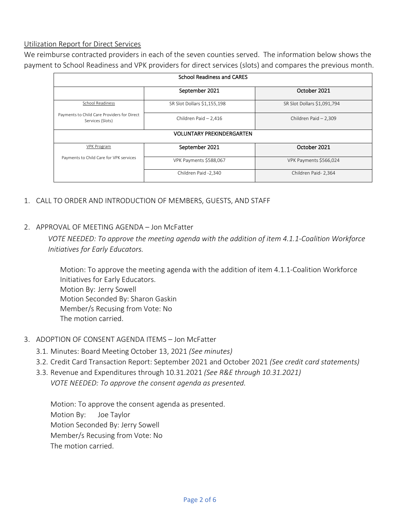#### Utilization Report for Direct Services

We reimburse contracted providers in each of the seven counties served. The information below shows the payment to School Readiness and VPK providers for direct services (slots) and compares the previous month.

| <b>School Readiness and CARES</b>                               |                             |                             |  |  |  |  |  |
|-----------------------------------------------------------------|-----------------------------|-----------------------------|--|--|--|--|--|
|                                                                 | September 2021              | October 2021                |  |  |  |  |  |
| <b>School Readiness</b>                                         | SR Slot Dollars \$1,155,198 | SR Slot Dollars \$1,091,794 |  |  |  |  |  |
| Payments to Child Care Providers for Direct<br>Services (Slots) | Children Paid - 2,416       | Children Paid - 2,309       |  |  |  |  |  |
| <b>VOLUNTARY PREKINDERGARTEN</b>                                |                             |                             |  |  |  |  |  |
| VPK Program                                                     | September 2021              | October 2021                |  |  |  |  |  |
| Payments to Child Care for VPK services                         | VPK Payments \$588,067      | VPK Payments \$566,024      |  |  |  |  |  |
|                                                                 | Children Paid -2,340        | Children Paid- 2,364        |  |  |  |  |  |

- 1. CALL TO ORDER AND INTRODUCTION OF MEMBERS, GUESTS, AND STAFF
- 2. APPROVAL OF MEETING AGENDA Jon McFatter

*VOTE NEEDED: To approve the meeting agenda with the addition of item 4.1.1-Coalition Workforce Initiatives for Early Educators.*

Motion: To approve the meeting agenda with the addition of item 4.1.1-Coalition Workforce Initiatives for Early Educators. Motion By: Jerry Sowell Motion Seconded By: Sharon Gaskin Member/s Recusing from Vote: No The motion carried.

- 3. ADOPTION OF CONSENT AGENDA ITEMS Jon McFatter
	- 3.1. Minutes: Board Meeting October 13, 2021 *(See minutes)*
	- 3.2. Credit Card Transaction Report: September 2021 and October 2021 *(See credit card statements)*
	- 3.3. Revenue and Expenditures through 10.31.2021 *(See R&E through 10.31.2021) VOTE NEEDED: To approve the consent agenda as presented.*

Motion: To approve the consent agenda as presented. Motion By: Joe Taylor Motion Seconded By: Jerry Sowell Member/s Recusing from Vote: No The motion carried.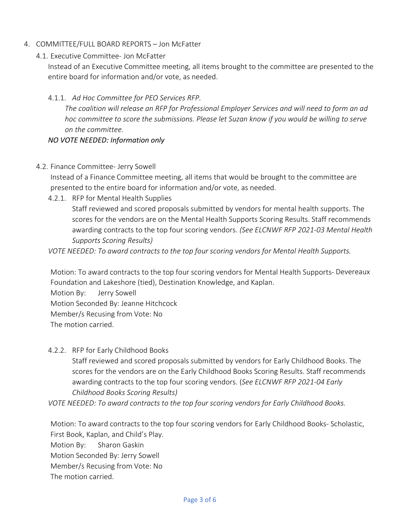- 4. COMMITTEE/FULL BOARD REPORTS Jon McFatter
	- 4.1. Executive Committee- Jon McFatter

Instead of an Executive Committee meeting, all items brought to the committee are presented to the entire board for information and/or vote, as needed.

#### 4.1.1. *Ad Hoc Committee for PEO Services RFP.*

*The coalition will release an RFP for Professional Employer Services and will need to form an ad hoc committee to score the submissions. Please let Suzan know if you would be willing to serve on the committee.* 

#### *NO VOTE NEEDED: Information only*

4.2. Finance Committee- Jerry Sowell

Instead of a Finance Committee meeting, all items that would be brought to the committee are presented to the entire board for information and/or vote, as needed.

4.2.1. RFP for Mental Health Supplies

Staff reviewed and scored proposals submitted by vendors for mental health supports. The scores for the vendors are on the Mental Health Supports Scoring Results. Staff recommends awarding contracts to the top four scoring vendors. *(See ELCNWF RFP 2021-03 Mental Health Supports Scoring Results)*

*VOTE NEEDED: To award contracts to the top four scoring vendors for Mental Health Supports.*

Motion: To award contracts to the top four scoring vendors for Mental Health Supports- Devereaux Foundation and Lakeshore (tied), Destination Knowledge, and Kaplan.

Motion By: Jerry Sowell

Motion Seconded By: Jeanne Hitchcock

Member/s Recusing from Vote: No

The motion carried.

4.2.2. RFP for Early Childhood Books

Staff reviewed and scored proposals submitted by vendors for Early Childhood Books. The scores for the vendors are on the Early Childhood Books Scoring Results. Staff recommends awarding contracts to the top four scoring vendors. (*See ELCNWF RFP 2021-04 Early Childhood Books Scoring Results)*

*VOTE NEEDED: To award contracts to the top four scoring vendors for Early Childhood Books.*

Motion: To award contracts to the top four scoring vendors for Early Childhood Books- Scholastic, First Book, Kaplan, and Child's Play.

Motion By: Sharon Gaskin

Motion Seconded By: Jerry Sowell

Member/s Recusing from Vote: No

The motion carried.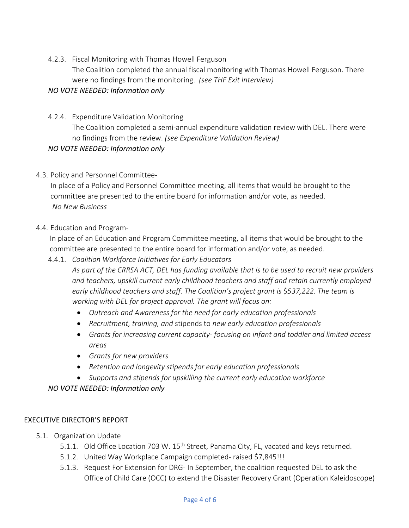4.2.3. Fiscal Monitoring with Thomas Howell Ferguson The Coalition completed the annual fiscal monitoring with Thomas Howell Ferguson. There were no findings from the monitoring. *(see THF Exit Interview)*

# *NO VOTE NEEDED: Information only*

- 4.2.4. Expenditure Validation Monitoring The Coalition completed a semi-annual expenditure validation review with DEL. There were no findings from the review. *(see Expenditure Validation Review) NO VOTE NEEDED: Information only*
- 4.3. Policy and Personnel Committee-

In place of a Policy and Personnel Committee meeting, all items that would be brought to the committee are presented to the entire board for information and/or vote, as needed. *No New Business*

### 4.4. Education and Program-

In place of an Education and Program Committee meeting, all items that would be brought to the committee are presented to the entire board for information and/or vote, as needed.

### 4.4.1. *Coalition Workforce Initiatives for Early Educators*

*As part of the CRRSA ACT, DEL has funding available that is to be used to recruit new providers and teachers, upskill current early childhood teachers and staff and retain currently employed early childhood teachers and staff. The Coalition's project grant is* \$*537,222. The team is working with DEL for project approval. The grant will focus on:* 

- *Outreach and Awareness for the need for early education professionals*
- *Recruitment, training, and* stipends to *new early education professionals*
- *Grants for increasing current capacity- focusing on infant and toddler and limited access areas*
- *Grants for new providers*
- *Retention and longevity stipends for early education professionals*
- *Supports and stipends for upskilling the current early education workforce*

# *NO VOTE NEEDED: Information only*

### EXECUTIVE DIRECTOR'S REPORT

- 5.1. Organization Update
	- 5.1.1. Old Office Location 703 W. 15<sup>th</sup> Street, Panama City, FL, vacated and keys returned.
	- 5.1.2. United Way Workplace Campaign completed- raised \$7,845!!!
	- 5.1.3. Request For Extension for DRG- In September, the coalition requested DEL to ask the Office of Child Care (OCC) to extend the Disaster Recovery Grant (Operation Kaleidoscope)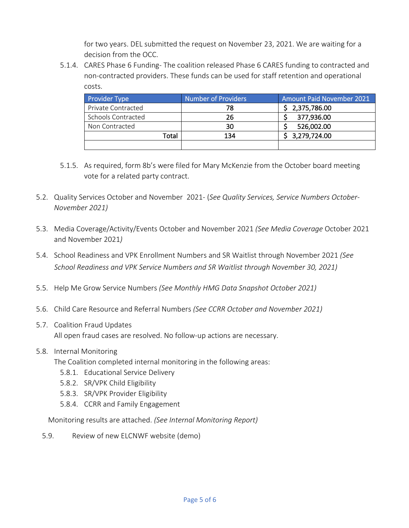for two years. DEL submitted the request on November 23, 2021. We are waiting for a decision from the OCC.

5.1.4. CARES Phase 6 Funding- The coalition released Phase 6 CARES funding to contracted and non-contracted providers. These funds can be used for staff retention and operational costs.

| <b>Provider Type</b> | <b>Number of Providers</b> | <b>Amount Paid November 2021</b> |
|----------------------|----------------------------|----------------------------------|
| Private Contracted   | 78                         | \$2,375,786.00                   |
| Schools Contracted   | 26                         | 377,936.00                       |
| Non Contracted       | 30                         | 526,002.00                       |
| Total                | 134                        | \$3,279,724.00                   |
|                      |                            |                                  |

- 5.1.5. As required, form 8b's were filed for Mary McKenzie from the October board meeting vote for a related party contract.
- 5.2. Quality Services October and November 2021- (*See Quality Services, Service Numbers October-November 2021)*
- 5.3. Media Coverage/Activity/Events October and November 2021 *(See Media Coverage* October 2021 and November 2021*)*
- 5.4. School Readiness and VPK Enrollment Numbers and SR Waitlist through November 2021 *(See School Readiness and VPK Service Numbers and SR Waitlist through November 30, 2021)*
- 5.5. Help Me Grow Service Numbers *(See Monthly HMG Data Snapshot October 2021)*
- 5.6. Child Care Resource and Referral Numbers *(See CCRR October and November 2021)*
- 5.7. Coalition Fraud Updates All open fraud cases are resolved. No follow-up actions are necessary.
- 5.8. Internal Monitoring
	- The Coalition completed internal monitoring in the following areas:
		- 5.8.1. Educational Service Delivery
		- 5.8.2. SR/VPK Child Eligibility
		- 5.8.3. SR/VPK Provider Eligibility
		- 5.8.4. CCRR and Family Engagement

Monitoring results are attached. *(See Internal Monitoring Report)*

5.9. Review of new ELCNWF website (demo)